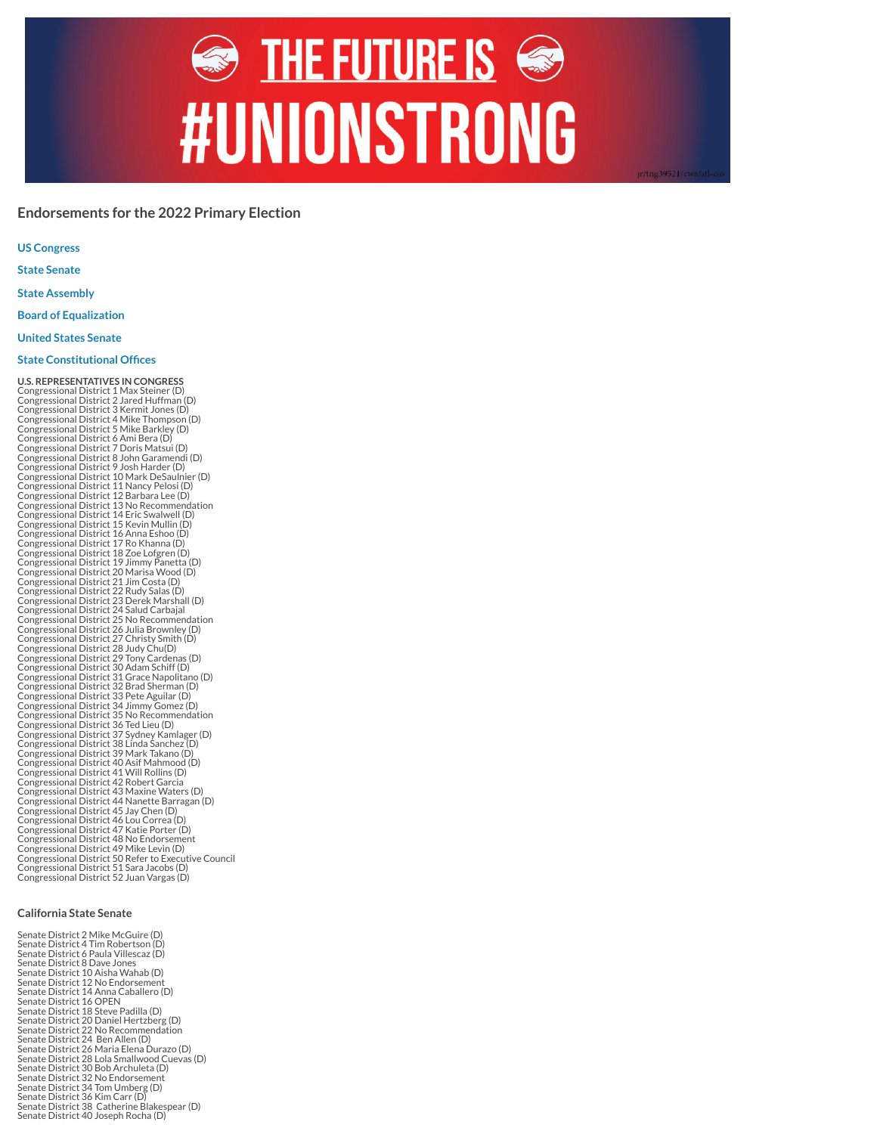# $\textcolor{blue}{\Leftrightarrow}\ \textsf{THE FUTURE IS} \textcolor{blue}{\Leftrightarrow}$ **#UNIONSTRONG**

jr/tng39521/cwa/afl

# **Endorsements for the 2022 Primary Election**

**US Congress**

**State [Senate](#page-0-0)**

**State [Assembly](#page-1-0)**

**Board of [Equalization](#page-1-1)**

**United States [Senate](#page-1-2)**

# **State [Constitutional](#page-1-3) Offices**

**U.S. REPRESENTATIVES IN CONGRESS**<br>Congressional District 1 Max Steiner (D)<br>Congressional District 2 Jared Huffman (D)<br>Congressional District 3 Kermit Jones (D)<br>Congressional District 4 Mike Thompson (D)<br>Congressional Dist Congressional District 11 Nancy Pelosi (D) Congressional District 12 Barbara Lee (D) Congressional District 13 No Recommendation Congressional District 14 Eric Swalwell (D) Congressional District 15 Kevin Mullin (D)<br>Congressional District 16 Anna Eshoo (D)<br>Congressional District 17 Ro Khanna (D)<br>Congressional District 18 Zoe Lofgren (D)<br>Congressional District 20 Marisa Wood (D)<br>Congressional Congressional District 21 Jim Costa (D) Congressional District 22 Rudy Salas (D) Congressional District 23 Derek Marshall (D) Congressional District 24 Salud Carbajal<br>Congressional District 25 No Recommendation<br>Congressional District 26 Julia Brownley (D)<br>Congressional District 27 Christy Smith (D)<br>Congressional District 29 Tony Cardenas (D)<br>Cong Congressional District 30 Adam Schiff (D) Congressional District 31 Grace Napolitano (D) Congressional District 32 Brad Sherman (D) Congressional District 33 Pete Aguilar (D) Congressional District 34 Jimmy Gomez (D) Congressional District 35 No Recommendation Congressional District 36 Ted Lieu (D) Congressional District 37 Sydney Kamlager (D) Congressional District 38 Linda Sanchez (D) Congressional District 39 Mark Takano (D) Congressional District 40 Asif Mahmood (D) Congressional District 41 Will Rollins (D) Congressional District 42 Robert Garcia Congressional District 43 Maxine Waters (D) Congressional District 44 Nanette Barragan (D) Congressional District 45 Jay Chen (D) Congressional District 46 Lou Correa (D) Congressional District 47 Katie Porter (D) Congressional District 48 No Endorsement Congressional District 49 Mike Levin (D) Congressional District 50 Refer to Executive Council Congressional District 51 Sara Jacobs (D) Congressional District 52 Juan Vargas (D)

## <span id="page-0-0"></span>**California State Senate**

Senate District 2 Mike McGuire (D) Senate District 4 Tim Robertson (D) Senate District 6 Paula Villescaz (D) Senate District 8 Dave Jones Senate District 10 Aisha Wahab (D) Senate District 12 No Endorsement Senate District 14 Anna Caballero (D) Senate District 16 OPEN Senate District 18 Steve Padilla (D) Senate District 20 Daniel Hertzberg (D) Senate District 22 No Recommendation Senate District 24 Ben Allen (D) Senate District 26 Maria Elena Durazo (D) Senate District 28 Lola Smallwood Cuevas (D) Senate District 30 Bob Archuleta (D) Senate District 32 No Endorsement Senate District 34 Tom Umberg (D) Senate District 36 Kim Carr (D) Senate District 38 Catherine Blakespear (D) Senate District 40 Joseph Rocha (D)